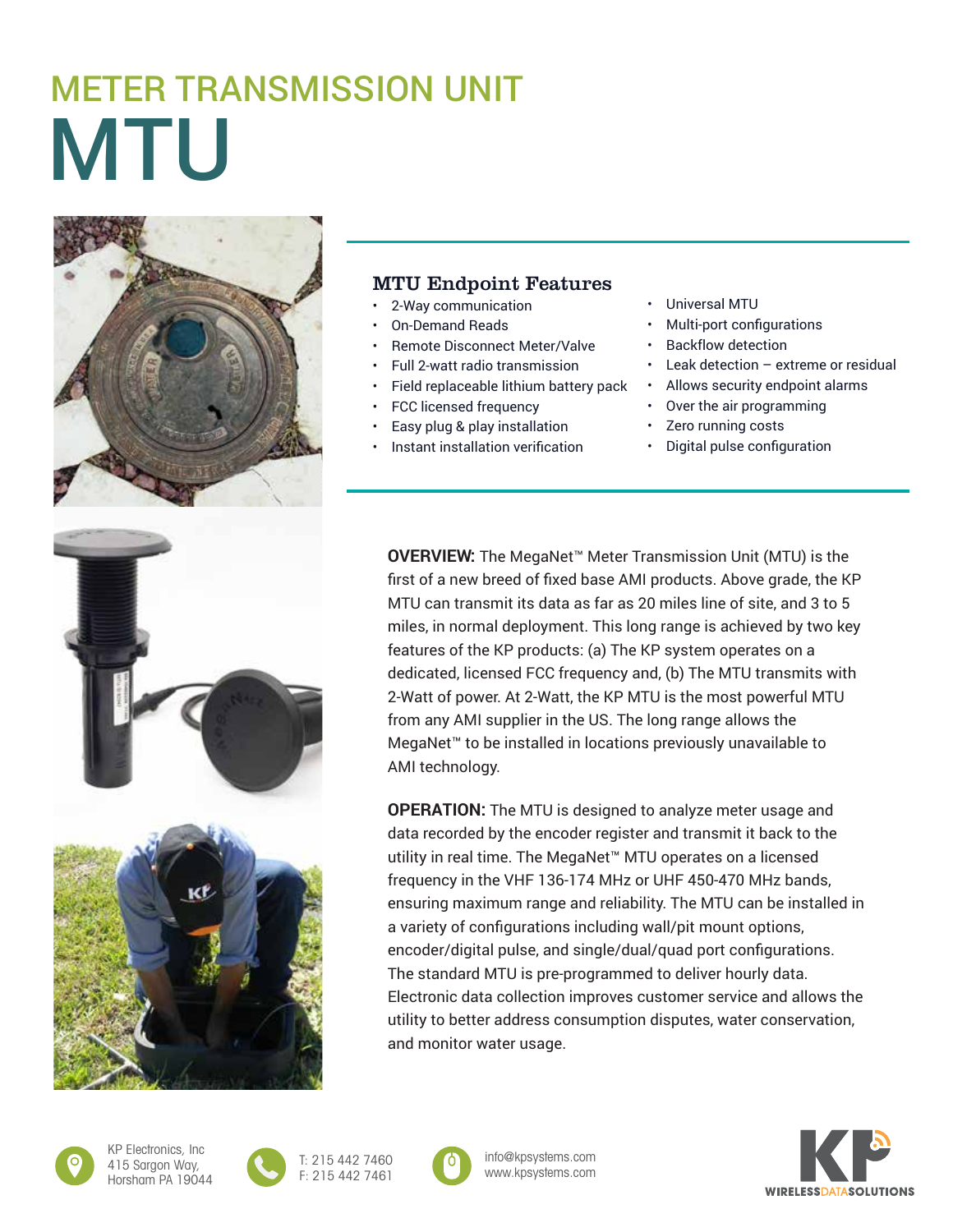## MTU METER TRANSMISSION UNIT



## MTU Endpoint Features

- 2-Way communication
- On-Demand Reads
- Remote Disconnect Meter/Valve
- Full 2-watt radio transmission
- Field replaceable lithium battery pack
- FCC licensed frequency
- Easy plug & play installation
- Instant installation verification
- Universal MTU
- Multi-port configurations
- Backflow detection
- Leak detection  $-$  extreme or residual
- Allows security endpoint alarms
- Over the air programming
- Zero running costs
- Digital pulse configuration

**OVERVIEW:** The MegaNet™ Meter Transmission Unit (MTU) is the first of a new breed of fixed base AMI products. Above grade, the KP MTU can transmit its data as far as 20 miles line of site, and 3 to 5 miles, in normal deployment. This long range is achieved by two key features of the KP products: (a) The KP system operates on a dedicated, licensed FCC frequency and, (b) The MTU transmits with 2-Watt of power. At 2-Watt, the KP MTU is the most powerful MTU from any AMI supplier in the US. The long range allows the MegaNet™ to be installed in locations previously unavailable to AMI technology.

**OPERATION:** The MTU is designed to analyze meter usage and data recorded by the encoder register and transmit it back to the utility in real time. The MegaNet™ MTU operates on a licensed frequency in the VHF 136-174 MHz or UHF 450-470 MHz bands, ensuring maximum range and reliability. The MTU can be installed in a variety of configurations including wall/pit mount options, encoder/digital pulse, and single/dual/quad port configurations. The standard MTU is pre-programmed to deliver hourly data. Electronic data collection improves customer service and allows the utility to better address consumption disputes, water conservation, and monitor water usage.



KP Electronics, Inc 415 Sargon Way, Horsham PA 19044







**WIRELESSDATASOLUTIONS**